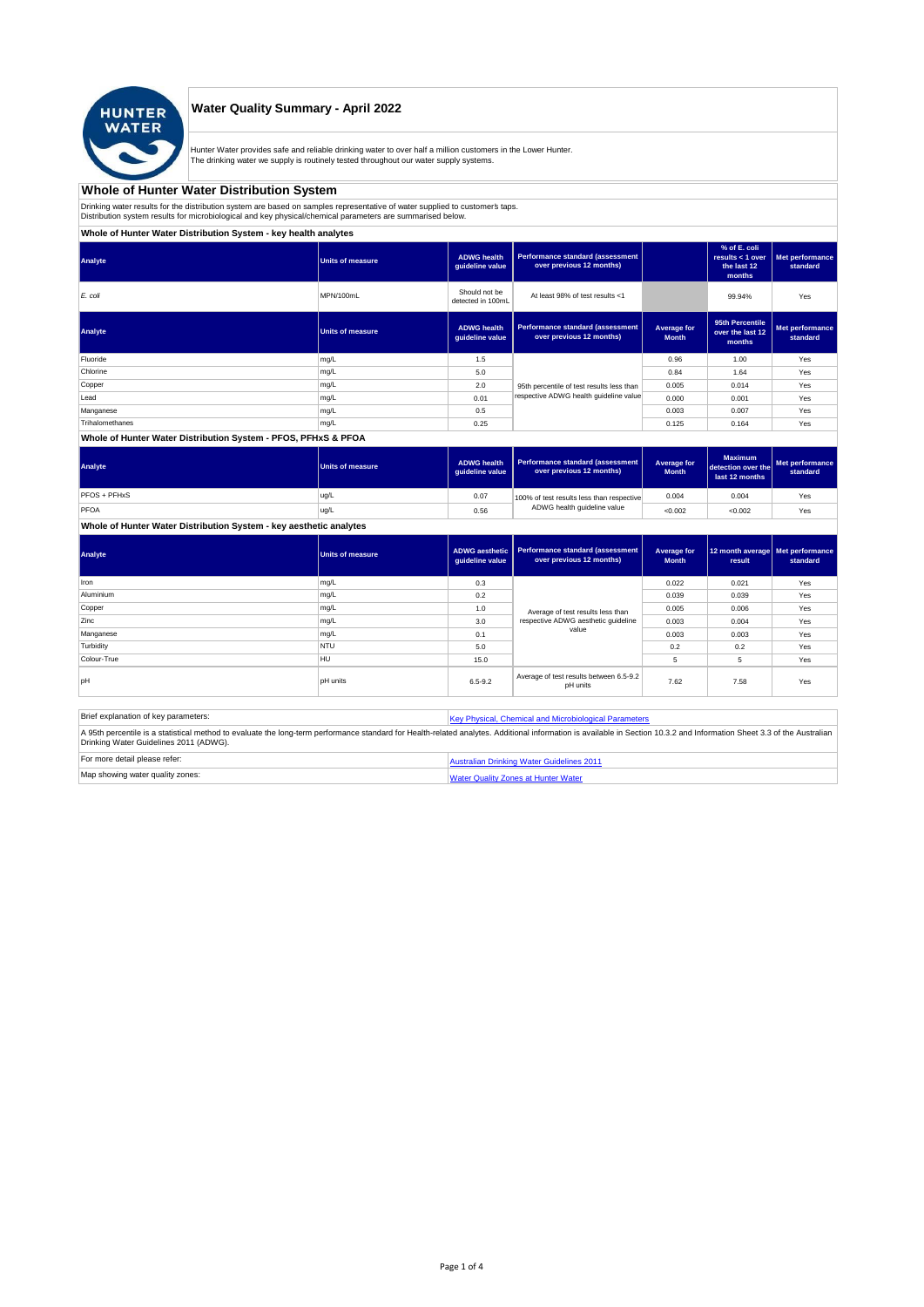

## **Water Quality Summary - April 2022**

Hunter Water provides safe and reliable drinking water to over half a million customers in the Lower Hunter. The drinking water we supply is routinely tested throughout our water supply systems.

# **Whole of Hunter Water Distribution System**

Drinking water results for the distribution system are based on samples representative of water supplied to customer' taps.<br>Distribution system results for microbiological and key physical/chemical parameters are summarise

**Whole of Hunter Water Distribution System - key health analytes**

| Analyte                                                                                 | <b>Units of measure</b> | <b>ADWG health</b><br>guideline value | Performance standard (assessment<br>over previous 12 months) |                             | % of E. coli<br>results $<$ 1 over<br>the last 12<br>months | Met performance<br>standard |
|-----------------------------------------------------------------------------------------|-------------------------|---------------------------------------|--------------------------------------------------------------|-----------------------------|-------------------------------------------------------------|-----------------------------|
| E. coli                                                                                 | MPN/100mL               | Should not be<br>detected in 100mL    | At least 98% of test results <1                              |                             | 99.94%                                                      | Yes                         |
| Analyte                                                                                 | <b>Units of measure</b> | <b>ADWG</b> health<br>guideline value | Performance standard (assessment<br>over previous 12 months) | Average for<br><b>Month</b> | 95th Percentile<br>over the last 12<br>months               | Met performance<br>standard |
| Fluoride                                                                                | mg/L                    | 1.5                                   |                                                              | 0.96                        | 1.00                                                        | Yes                         |
| Chlorine                                                                                | mg/L                    | 5.0                                   |                                                              | 0.84                        | 1.64                                                        | Yes                         |
| Copper                                                                                  | mg/L                    | 2.0                                   | 95th percentile of test results less than                    | 0.005                       | 0.014                                                       | Yes                         |
| Lead                                                                                    | mg/L                    | 0.01                                  | respective ADWG health guideline value                       | 0.000                       | 0.001                                                       | Yes                         |
| Manganese                                                                               | mg/L                    | 0.5                                   |                                                              | 0.003                       | 0.007                                                       | Yes                         |
| Trihalomethanes                                                                         | mg/L                    | 0.25                                  |                                                              | 0.125                       | 0.164                                                       | Yes                         |
| the state of the control of the control of the control of the control of the control of |                         |                                       |                                                              |                             |                                                             |                             |

### **Whole of Hunter Water Distribution System - PFOS, PFHxS & PFOA**

| Analyte      | Units of measure | <b>ADWG health</b><br>quideline value | Performance standard (assessment<br>over previous 12 months) | Average for<br><b>Month</b> | <b>Maximum</b><br>detection over the<br>last 12 months | Met performance<br>standard |
|--------------|------------------|---------------------------------------|--------------------------------------------------------------|-----------------------------|--------------------------------------------------------|-----------------------------|
| PFOS + PFHxS | ug/L             | 0.07                                  | 100% of test results less than respective                    | 0.004                       | 0.004                                                  | Yes                         |
| PFOA         | ug/L             | 0.56                                  | ADWG health guideline value                                  | < 0.002                     | < 0.002                                                | Yes                         |

**Whole of Hunter Water Distribution System - key aesthetic analytes**

| Analyte     | Units of measure | ADWG aesthetic<br>guideline value | Performance standard (assessment<br>over previous 12 months) | Average for<br><b>Month</b> | 12 month average   Met performance<br>result | standard |
|-------------|------------------|-----------------------------------|--------------------------------------------------------------|-----------------------------|----------------------------------------------|----------|
| Iron        | mg/L             | 0.3                               |                                                              | 0.022                       | 0.021                                        | Yes      |
| Aluminium   | mg/L             | 0.2                               |                                                              | 0.039                       | 0.039                                        | Yes      |
| Copper      | mg/L             | 1.0                               | Average of test results less than                            | 0.005                       | 0.006                                        | Yes      |
| Zinc        | mg/L             | 3.0                               | respective ADWG aesthetic quideline                          | 0.003                       | 0.004                                        | Yes      |
| Manganese   | mg/L             | 0.1                               | value                                                        | 0.003                       | 0.003                                        | Yes      |
| Turbidity   | <b>NTU</b>       | 5.0                               |                                                              | 0.2                         | 0.2                                          | Yes      |
| Colour-True | HU               | 15.0                              |                                                              |                             | 5                                            | Yes      |
| loH         | <b>pH</b> units  | $6.5 - 9.2$                       | Average of test results between 6.5-9.2<br>pH units          | 7.62                        | 7.58                                         | Yes      |

| Brief explanation of key parameters:   | Key Physical, Chemical and Microbiological Parameters                                                                                                                                                                   |
|----------------------------------------|-------------------------------------------------------------------------------------------------------------------------------------------------------------------------------------------------------------------------|
| Drinking Water Guidelines 2011 (ADWG). | A 95th percentile is a statistical method to evaluate the long-term performance standard for Health-related analytes. Additional information is available in Section 10.3.2 and Information Sheet 3.3 of the Australian |
| For more detail please refer:          | Australian Drinking Water Guidelines 2011                                                                                                                                                                               |
| Map showing water quality zones:       | <b>Water Quality Zones at Hunter Water</b>                                                                                                                                                                              |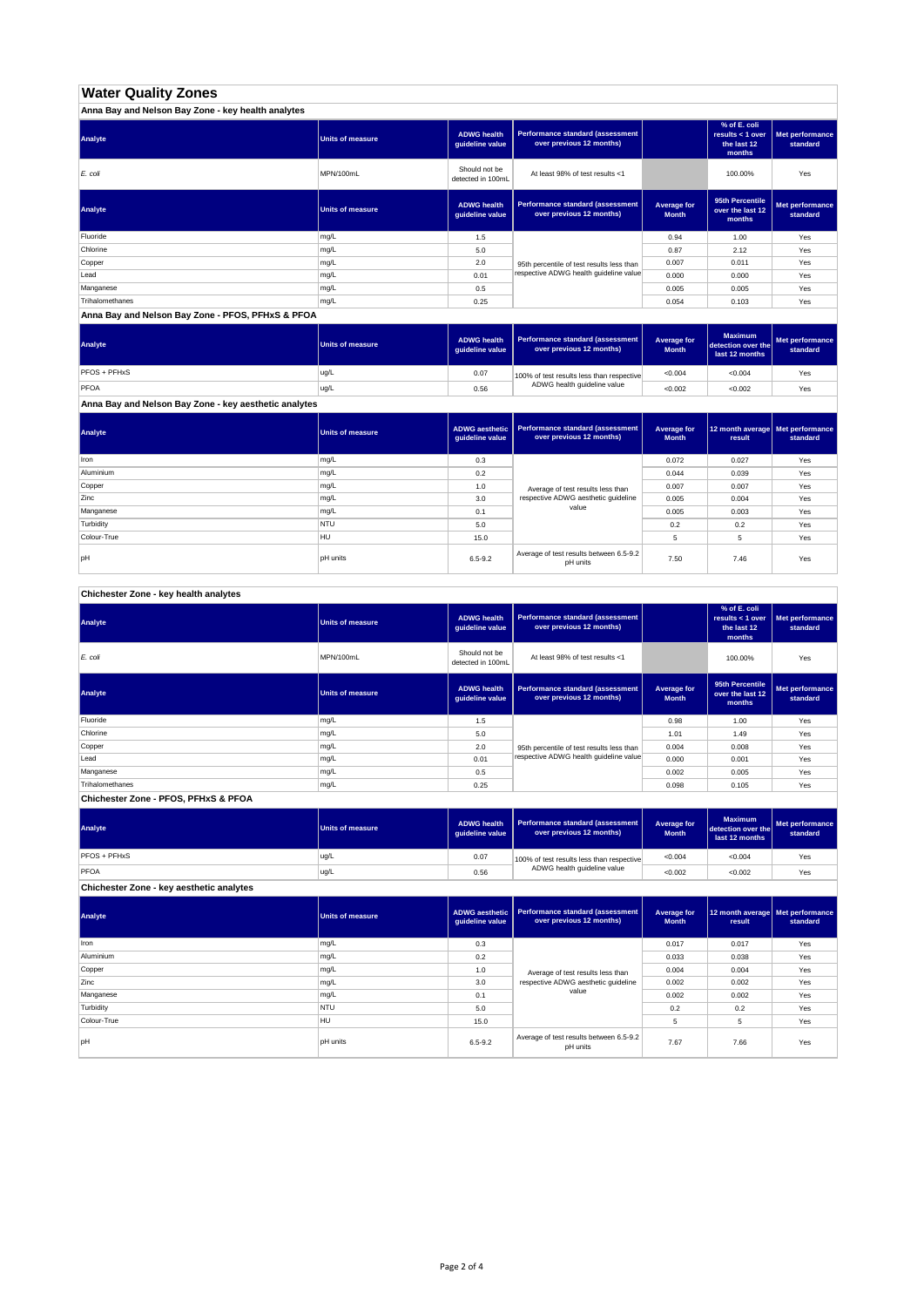# **Water Quality Zones**

| Anna Bay and Nelson Bay Zone - key health analytes |                  |                                       |                                                                     |                             |                                                           |                             |
|----------------------------------------------------|------------------|---------------------------------------|---------------------------------------------------------------------|-----------------------------|-----------------------------------------------------------|-----------------------------|
| Analyte                                            | Units of measure | <b>ADWG health</b><br>guideline value | <b>Performance standard (assessment</b><br>over previous 12 months) |                             | % of E. coli<br>results < 1 over<br>the last 12<br>months | Met performance<br>standard |
| E. coli                                            | MPN/100mL        | Should not be<br>detected in 100mL    | At least 98% of test results <1                                     |                             | 100.00%                                                   | Yes                         |
| Analyte                                            | Units of measure | <b>ADWG health</b><br>guideline value | <b>Performance standard (assessment</b><br>over previous 12 months) | Average for<br><b>Month</b> | 95th Percentile<br>over the last 12<br>months             | Met performance<br>standard |
| Fluoride                                           | mg/L             | 1.5                                   |                                                                     | 0.94                        | 1.00                                                      | Yes                         |
| Chlorine                                           | mg/L             | 5.0                                   |                                                                     | 0.87                        | 2.12                                                      | Yes                         |
| Copper                                             | mg/L             | 2.0                                   | 95th percentile of test results less than                           | 0.007                       | 0.011                                                     | Yes                         |
| Lead                                               | mg/L             | 0.01                                  | respective ADWG health guideline value                              | 0.000                       | 0.000                                                     | Yes                         |
| Manganese                                          | mg/L             | 0.5                                   |                                                                     | 0.005                       | 0.005                                                     | Yes                         |
| Trihalomethanes                                    | mg/L             | 0.25                                  |                                                                     | 0.054                       | 0.103                                                     | Yes                         |

**Anna Bay and Nelson Bay Zone - PFOS, PFHxS & PFOA**

| <b>Units of measure</b> | <b>ADWG health</b> | over previous 12 months)    | Average for<br><b>Month</b> | <b>Maximum</b><br>last 12 months                                              | Met performance<br>standard |
|-------------------------|--------------------|-----------------------------|-----------------------------|-------------------------------------------------------------------------------|-----------------------------|
| ug/L                    | 0.07               |                             | < 0.004                     | < 0.004                                                                       | Yes                         |
| ug/L                    | 0.56               | ADWG health guideline value | < 0.002                     | < 0.002                                                                       | Yes                         |
|                         |                    |                             | quideline value             | Performance standard (assessment<br>100% of test results less than respective | detection over the          |

**Anna Bay and Nelson Bay Zone - key aesthetic analytes**

| Analyte     | <b>Units of measure</b> | guideline value | ADWG aesthetic   Performance standard (assessment<br>over previous 12 months) | Average for<br><b>Month</b> | 12 month average   Met performance<br>result | standard |
|-------------|-------------------------|-----------------|-------------------------------------------------------------------------------|-----------------------------|----------------------------------------------|----------|
| Iron        | mg/L                    | 0.3             |                                                                               | 0.072                       | 0.027                                        | Yes      |
| Aluminium   | mg/L                    | 0.2             |                                                                               | 0.044                       | 0.039                                        | Yes      |
| Copper      | mg/L                    | 1.0             | Average of test results less than                                             | 0.007                       | 0.007                                        | Yes      |
| Zinc        | mg/L                    | 3.0             | respective ADWG aesthetic quideline                                           | 0.005                       | 0.004                                        | Yes      |
| Manganese   | mg/L                    | 0.1             | value                                                                         | 0.005                       | 0.003                                        | Yes      |
| Turbidity   | <b>NTU</b>              | 5.0             |                                                                               | 0.2                         | 0.2                                          | Yes      |
| Colour-True | <b>HU</b>               | 15.0            |                                                                               | 5                           | 5                                            | Yes      |
| pH          | <b>pH</b> units         | $6.5 - 9.2$     | Average of test results between 6.5-9.2<br>pH units                           | 7.50                        | 7.46                                         | Yes      |

**Chichester Zone - key health analytes**

| Analyte         | Units of measure | <b>ADWG</b> health<br>guideline value | Performance standard (assessment<br>over previous 12 months) |                             | % of E. coli<br>results $<$ 1 over<br>the last 12<br>months | Met performance<br>standard |
|-----------------|------------------|---------------------------------------|--------------------------------------------------------------|-----------------------------|-------------------------------------------------------------|-----------------------------|
| E. coli         | MPN/100mL        | Should not be<br>detected in 100mL    | At least 98% of test results <1                              |                             | 100.00%                                                     | Yes                         |
| Analyte         | Units of measure | <b>ADWG</b> health<br>guideline value | Performance standard (assessment<br>over previous 12 months) | Average for<br><b>Month</b> | 95th Percentile<br>over the last 12<br>months               | Met performance<br>standard |
| Fluoride        | mg/L             | 1.5                                   |                                                              | 0.98                        | 1.00                                                        | Yes                         |
| Chlorine        | mg/L             | 5.0                                   |                                                              | 1.01                        | 1.49                                                        | Yes                         |
| Copper          | mg/L             | 2.0                                   | 95th percentile of test results less than                    | 0.004                       | 0.008                                                       | Yes                         |
| Lead            | mg/L             | 0.01                                  | respective ADWG health quideline value                       | 0.000                       | 0.001                                                       | Yes                         |
| Manganese       | mg/L             | 0.5                                   |                                                              | 0.002                       | 0.005                                                       | Yes                         |
| Trihalomethanes | mg/L             | 0.25                                  |                                                              | 0.098                       | 0.105                                                       | Yes                         |
|                 |                  |                                       |                                                              |                             |                                                             |                             |

**Chichester Zone - PFOS, PFHxS & PFOA**

| Analyte             | Units of measure | <b>ADWG health</b><br>auideline value | Performance standard (assessment<br>over previous 12 months) | Average for<br><b>Month</b> | <b>Maximum</b><br>detection over the<br>last 12 months | Met performance<br>standard |
|---------------------|------------------|---------------------------------------|--------------------------------------------------------------|-----------------------------|--------------------------------------------------------|-----------------------------|
| <b>PFOS + PFHxS</b> | ug/L             | 0.07                                  | 100% of test results less than respective                    | < 0.004                     | < 0.004                                                | Yes                         |
| PFOA                | ug/L             | 0.56                                  | ADWG health guideline value                                  | < 0.002                     | <0.002                                                 | Yes                         |

**Chichester Zone - key aesthetic analytes**

| Analyte     | <b>Units of measure</b> | ADWG aesthetic<br>guideline value | Performance standard (assessment<br>over previous 12 months) | Average for<br><b>Month</b> | 12 month average   Met performance<br>result | standard |
|-------------|-------------------------|-----------------------------------|--------------------------------------------------------------|-----------------------------|----------------------------------------------|----------|
| Iron        | mg/L                    | 0.3                               |                                                              | 0.017                       | 0.017                                        | Yes      |
| Aluminium   | mg/L                    | 0.2                               |                                                              | 0.033                       | 0.038                                        | Yes      |
| Copper      | mg/L                    | 1.0                               | Average of test results less than                            | 0.004                       | 0.004                                        | Yes      |
| Zinc        | mg/L                    | 3.0                               | respective ADWG aesthetic quideline                          | 0.002                       | 0.002                                        | Yes      |
| Manganese   | mg/L                    | 0.1                               | value                                                        | 0.002                       | 0.002                                        | Yes      |
| Turbidity   | <b>NTU</b>              | 5.0                               |                                                              | 0.2                         | 0.2                                          | Yes      |
| Colour-True | HU                      | 15.0                              |                                                              | 5                           | 5                                            | Yes      |
| pH          | pH units                | $6.5 - 9.2$                       | Average of test results between 6.5-9.2<br>pH units          | 7.67                        | 7.66                                         | Yes      |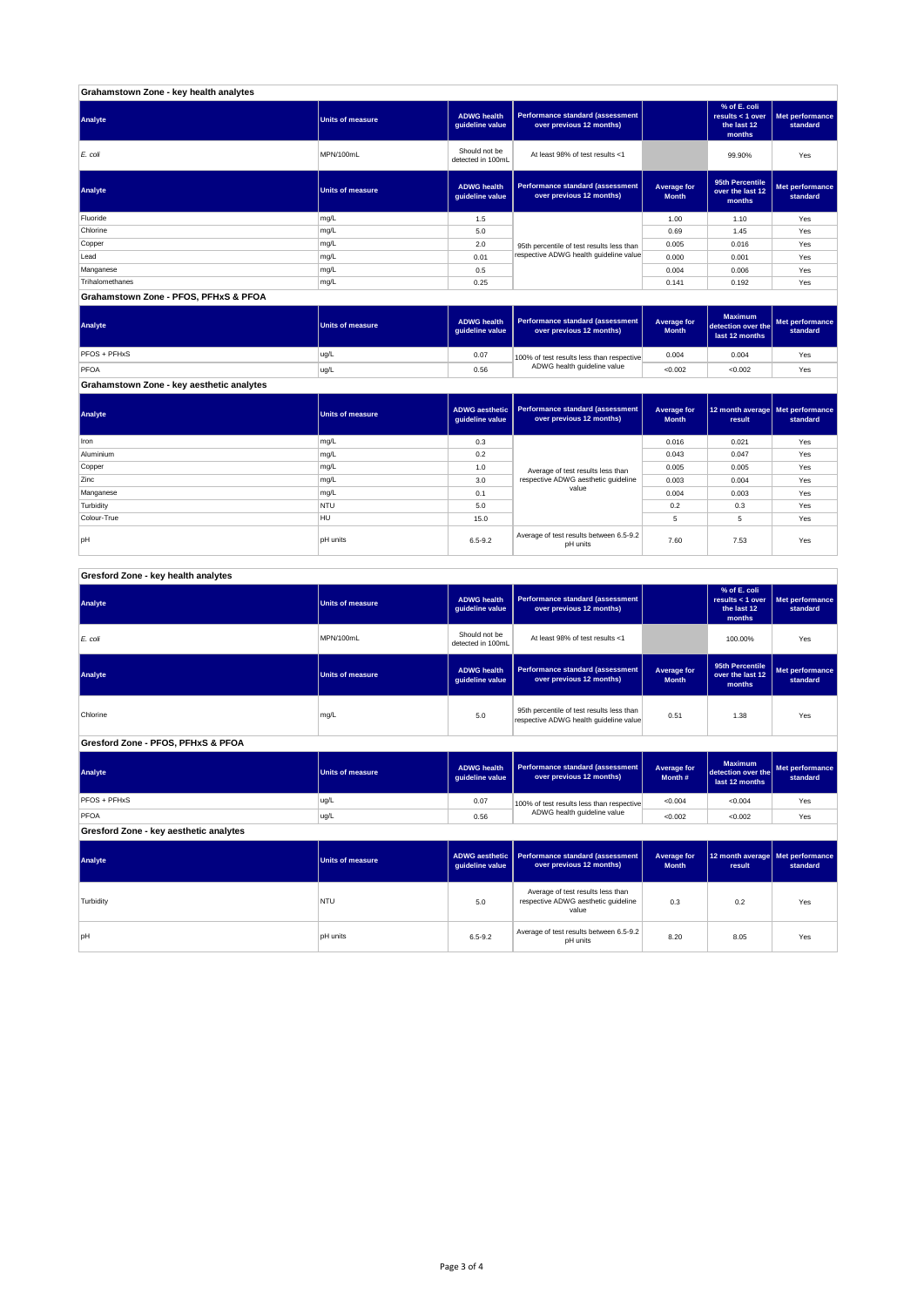| Grahamstown Zone - key health analytes |                         |                                       |                                                              |                             |                                                             |                             |
|----------------------------------------|-------------------------|---------------------------------------|--------------------------------------------------------------|-----------------------------|-------------------------------------------------------------|-----------------------------|
| Analyte                                | <b>Units of measure</b> | <b>ADWG health</b><br>guideline value | Performance standard (assessment<br>over previous 12 months) |                             | % of E. coli<br>results $<$ 1 over<br>the last 12<br>months | Met performance<br>standard |
| E. coli                                | MPN/100mL               | Should not be<br>detected in 100mL    | At least 98% of test results <1                              |                             | 99.90%                                                      | Yes                         |
| Analyte                                | <b>Units of measure</b> | <b>ADWG health</b><br>guideline value | Performance standard (assessment<br>over previous 12 months) | Average for<br><b>Month</b> | 95th Percentile<br>over the last 12<br>months               | Met performance<br>standard |
| Fluoride                               | mg/L                    | 1.5                                   |                                                              | 1.00                        | 1.10                                                        | Yes                         |
| Chlorine                               | mg/L                    | 5.0                                   |                                                              | 0.69                        | 1.45                                                        | Yes                         |
| Copper                                 | mg/L                    | 2.0                                   | 95th percentile of test results less than                    | 0.005                       | 0.016                                                       | Yes                         |
| Lead                                   | mg/L                    | 0.01                                  | respective ADWG health guideline value                       | 0.000                       | 0.001                                                       | Yes                         |
| Manganese                              | mg/L                    | 0.5                                   |                                                              | 0.004                       | 0.006                                                       | Yes                         |
| Trihalomethanes                        | mg/L                    | 0.25                                  |                                                              | 0.141                       | 0.192                                                       | Yes                         |
| Grahamstown Zone - PFOS, PFHxS & PFOA  |                         |                                       |                                                              |                             |                                                             |                             |

| Analyte      | Units of measure | <b>ADWG health</b><br>quideline value | Performance standard (assessment<br>over previous 12 months)             | Average for<br><b>Month</b> | <b>Maximum</b><br>detection over the<br>last 12 months | Met performance<br>standard |
|--------------|------------------|---------------------------------------|--------------------------------------------------------------------------|-----------------------------|--------------------------------------------------------|-----------------------------|
| PFOS + PFHxS | ug/L             | 0.07                                  | 100% of test results less than respective<br>ADWG health guideline value | 0.004                       | 0.004                                                  | Yes                         |
| <b>PFOA</b>  | ug/L             | 0.56                                  |                                                                          | < 0.002                     | < 0.002                                                | Yes                         |

**Grahamstown Zone - key aesthetic analytes**

| Analyte     | Units of measure | ADWG aesthetic<br>guideline value | <b>Performance standard (assessment</b><br>over previous 12 months) | Average for<br><b>Month</b> | 12 month average Met performance<br>result | standard |
|-------------|------------------|-----------------------------------|---------------------------------------------------------------------|-----------------------------|--------------------------------------------|----------|
| Iron        | mg/L             | 0.3                               |                                                                     | 0.016                       | 0.021                                      | Yes      |
| Aluminium   | mg/L             | 0.2                               |                                                                     | 0.043                       | 0.047                                      | Yes      |
| Copper      | mg/L             | 1.0                               | Average of test results less than                                   | 0.005                       | 0.005                                      | Yes      |
| Zinc        | mg/L             | 3.0                               | respective ADWG aesthetic quideline                                 | 0.003                       | 0.004                                      | Yes      |
| Manganese   | mg/L             | 0.1                               | value                                                               | 0.004                       | 0.003                                      | Yes      |
| Turbidity   | <b>NTU</b>       | 5.0                               |                                                                     | 0.2                         | 0.3                                        | Yes      |
| Colour-True | <b>HU</b>        | 15.0                              |                                                                     |                             | 5                                          | Yes      |
| pH          | <b>DH</b> units  | $6.5 - 9.2$                       | Average of test results between 6.5-9.2<br>pH units                 | 7.60                        | 7.53                                       | Yes      |

٦

### **Gresford Zone - key health analytes**

| Analyte                                | Units of measure        | <b>ADWG health</b><br>guideline value    | <b>Performance standard (assessment</b><br>over previous 12 months)                 |                                    | % of E. coli<br>results < $1$ over<br>the last 12<br>months | Met performance<br>standard |
|----------------------------------------|-------------------------|------------------------------------------|-------------------------------------------------------------------------------------|------------------------------------|-------------------------------------------------------------|-----------------------------|
| E. coli                                | MPN/100mL               | Should not be<br>detected in 100mL       | At least 98% of test results <1                                                     |                                    | 100.00%                                                     | Yes                         |
| Analyte                                | <b>Units of measure</b> | <b>ADWG health</b><br>guideline value    | <b>Performance standard (assessment</b><br>over previous 12 months)                 | <b>Average for</b><br><b>Month</b> | 95th Percentile<br>over the last 12<br>months               | Met performance<br>standard |
| Chlorine                               | mg/L                    | 5.0                                      | 95th percentile of test results less than<br>respective ADWG health guideline value | 0.51                               | 1.38                                                        | Yes                         |
| Gresford Zone - PFOS, PFHxS & PFOA     |                         |                                          |                                                                                     |                                    |                                                             |                             |
| Analyte                                | <b>Units of measure</b> | <b>ADWG health</b><br>guideline value    | Performance standard (assessment<br>over previous 12 months)                        | <b>Average for</b><br>Month#       | <b>Maximum</b><br>detection over the l<br>last 12 months    | Met performance<br>standard |
| PFOS + PFHxS                           | ug/L                    | 0.07                                     | 100% of test results less than respective                                           | < 0.004                            | < 0.004                                                     | Yes                         |
| PFOA                                   | ug/L                    | 0.56                                     | ADWG health guideline value                                                         | < 0.002                            | < 0.002                                                     | Yes                         |
| Gresford Zone - key aesthetic analytes |                         |                                          |                                                                                     |                                    |                                                             |                             |
| Analyte                                | <b>Units of measure</b> | <b>ADWG</b> aesthetic<br>guideline value | Performance standard (assessment<br>over previous 12 months)                        | <b>Average for</b><br><b>Month</b> | 12 month average                                            | Met performance<br>standard |
|                                        |                         |                                          |                                                                                     |                                    | result                                                      |                             |
| Turbidity                              | <b>NTU</b>              | 5.0                                      | Average of test results less than<br>respective ADWG aesthetic guideline<br>value   | 0.3                                | 0.2                                                         | Yes                         |